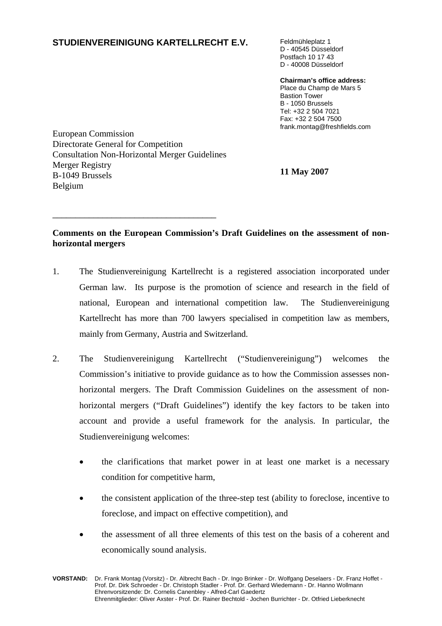# **STUDIENVEREINIGUNG KARTELLRECHT E.V.** Feldmühleplatz 1

D - 40545 Düsseldorf Postfach 10 17 43 D - 40008 Düsseldorf

**Chairman's office address:** Place du Champ de Mars 5 Bastion Tower B - 1050 Brussels Tel: +32 2 504 7021 Fax: +32 2 504 7500 frank.montag@freshfields.com

European Commission Directorate General for Competition Consultation Non-Horizontal Merger Guidelines Merger Registry **11 May 2007** B-1049 Brussels Belgium

\_\_\_\_\_\_\_\_\_\_\_\_\_\_\_\_\_\_\_\_\_\_\_\_\_\_\_\_\_\_\_\_\_\_\_\_

# **Comments on the European Commission's Draft Guidelines on the assessment of nonhorizontal mergers**

- 1. The Studienvereinigung Kartellrecht is a registered association incorporated under German law. Its purpose is the promotion of science and research in the field of national, European and international competition law. The Studienvereinigung Kartellrecht has more than 700 lawyers specialised in competition law as members, mainly from Germany, Austria and Switzerland.
- 2. The Studienvereinigung Kartellrecht ("Studienvereinigung") welcomes the Commission's initiative to provide guidance as to how the Commission assesses nonhorizontal mergers. The Draft Commission Guidelines on the assessment of nonhorizontal mergers ("Draft Guidelines") identify the key factors to be taken into account and provide a useful framework for the analysis. In particular, the Studienvereinigung welcomes:
	- the clarifications that market power in at least one market is a necessary condition for competitive harm,
	- the consistent application of the three-step test (ability to foreclose, incentive to foreclose, and impact on effective competition), and
	- the assessment of all three elements of this test on the basis of a coherent and economically sound analysis.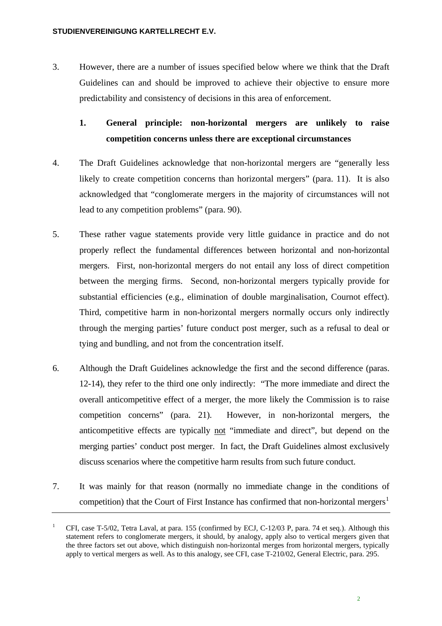3. However, there are a number of issues specified below where we think that the Draft Guidelines can and should be improved to achieve their objective to ensure more predictability and consistency of decisions in this area of enforcement.

# **1. General principle: non-horizontal mergers are unlikely to raise competition concerns unless there are exceptional circumstances**

- 4. The Draft Guidelines acknowledge that non-horizontal mergers are "generally less likely to create competition concerns than horizontal mergers" (para. 11). It is also acknowledged that "conglomerate mergers in the majority of circumstances will not lead to any competition problems" (para. 90).
- 5. These rather vague statements provide very little guidance in practice and do not properly reflect the fundamental differences between horizontal and non-horizontal mergers. First, non-horizontal mergers do not entail any loss of direct competition between the merging firms. Second, non-horizontal mergers typically provide for substantial efficiencies (e.g., elimination of double marginalisation, Cournot effect). Third, competitive harm in non-horizontal mergers normally occurs only indirectly through the merging parties' future conduct post merger, such as a refusal to deal or tying and bundling, and not from the concentration itself.
- 6. Although the Draft Guidelines acknowledge the first and the second difference (paras. 12-14), they refer to the third one only indirectly: "The more immediate and direct the overall anticompetitive effect of a merger, the more likely the Commission is to raise competition concerns" (para. 21). However, in non-horizontal mergers, the anticompetitive effects are typically not "immediate and direct", but depend on the merging parties' conduct post merger. In fact, the Draft Guidelines almost exclusively discuss scenarios where the competitive harm results from such future conduct.
- 7. It was mainly for that reason (normally no immediate change in the conditions of competition) that the Court of First Instance has confirmed that non-horizontal mergers<sup>[1](#page-1-0)</sup>

<span id="page-1-0"></span><sup>1</sup> CFI, case T-5/02, Tetra Laval, at para. 155 (confirmed by ECJ, C-12/03 P, para. 74 et seq.). Although this statement refers to conglomerate mergers, it should, by analogy, apply also to vertical mergers given that the three factors set out above, which distinguish non-horizontal merges from horizontal mergers, typically apply to vertical mergers as well. As to this analogy, see CFI, case T-210/02, General Electric, para. 295.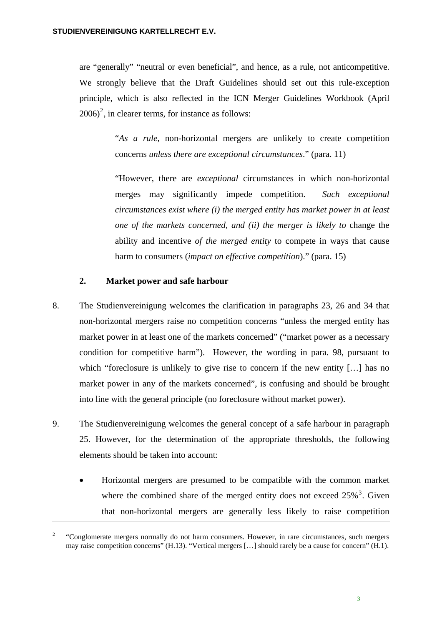are "generally" "neutral or even beneficial", and hence, as a rule, not anticompetitive. We strongly believe that the Draft Guidelines should set out this rule-exception principle, which is also reflected in the ICN Merger Guidelines Workbook (April  $2006)^2$  $2006)^2$ , in clearer terms, for instance as follows:

> "*As a rule*, non-horizontal mergers are unlikely to create competition concerns *unless there are exceptional circumstances*." (para. 11)

> "However, there are *exceptional* circumstances in which non-horizontal merges may significantly impede competition. *Such exceptional circumstances exist where (i) the merged entity has market power in at least one of the markets concerned, and (ii) the merger is likely to* change the ability and incentive *of the merged entity* to compete in ways that cause harm to consumers (*impact on effective competition*)." (para. 15)

### **2. Market power and safe harbour**

- 8. The Studienvereinigung welcomes the clarification in paragraphs 23, 26 and 34 that non-horizontal mergers raise no competition concerns "unless the merged entity has market power in at least one of the markets concerned" ("market power as a necessary condition for competitive harm"). However, the wording in para. 98, pursuant to which "foreclosure is unlikely to give rise to concern if the new entity [...] has no market power in any of the markets concerned", is confusing and should be brought into line with the general principle (no foreclosure without market power).
- 9. The Studienvereinigung welcomes the general concept of a safe harbour in paragraph 25. However, for the determination of the appropriate thresholds, the following elements should be taken into account:
	- Horizontal mergers are presumed to be compatible with the common market where the combined share of the merged entity does not exceed  $25\%$ <sup>[3](#page-2-1)</sup>. Given that non-horizontal mergers are generally less likely to raise competition

<span id="page-2-1"></span><span id="page-2-0"></span> 2 "Conglomerate mergers normally do not harm consumers. However, in rare circumstances, such mergers may raise competition concerns" (H.13). "Vertical mergers […] should rarely be a cause for concern" (H.1).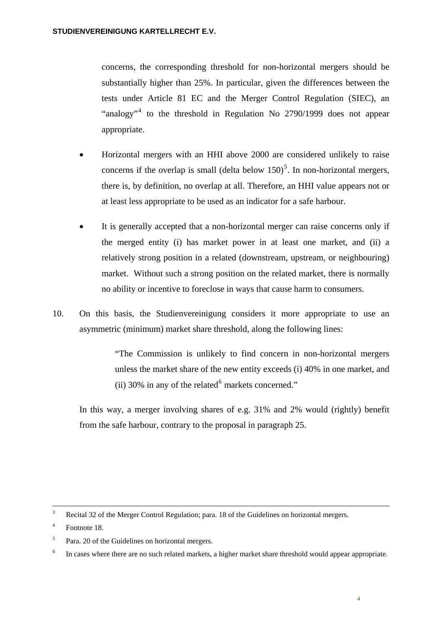concerns, the corresponding threshold for non-horizontal mergers should be substantially higher than 25%. In particular, given the differences between the tests under Article 81 EC and the Merger Control Regulation (SIEC), an "analogy"<sup>[4](#page-3-0)</sup> to the threshold in Regulation No 2790/1999 does not appear appropriate.

- Horizontal mergers with an HHI above 2000 are considered unlikely to raise concerns if the overlap is small (delta below  $150$  $150$  $150$ )<sup>5</sup>. In non-horizontal mergers, there is, by definition, no overlap at all. Therefore, an HHI value appears not or at least less appropriate to be used as an indicator for a safe harbour.
- It is generally accepted that a non-horizontal merger can raise concerns only if the merged entity (i) has market power in at least one market, and (ii) a relatively strong position in a related (downstream, upstream, or neighbouring) market. Without such a strong position on the related market, there is normally no ability or incentive to foreclose in ways that cause harm to consumers.
- 10. On this basis, the Studienvereinigung considers it more appropriate to use an asymmetric (minimum) market share threshold, along the following lines:

"The Commission is unlikely to find concern in non-horizontal mergers unless the market share of the new entity exceeds (i) 40% in one market, and (ii) 30% in any of the related $6$  markets concerned."

In this way, a merger involving shares of e.g. 31% and 2% would (rightly) benefit from the safe harbour, contrary to the proposal in paragraph 25.

 $\frac{1}{3}$ Recital 32 of the Merger Control Regulation; para. 18 of the Guidelines on horizontal mergers.

<span id="page-3-0"></span><sup>4</sup> Footnote 18.

<span id="page-3-1"></span><sup>5</sup> Para. 20 of the Guidelines on horizontal mergers.

<span id="page-3-2"></span><sup>6</sup> In cases where there are no such related markets, a higher market share threshold would appear appropriate.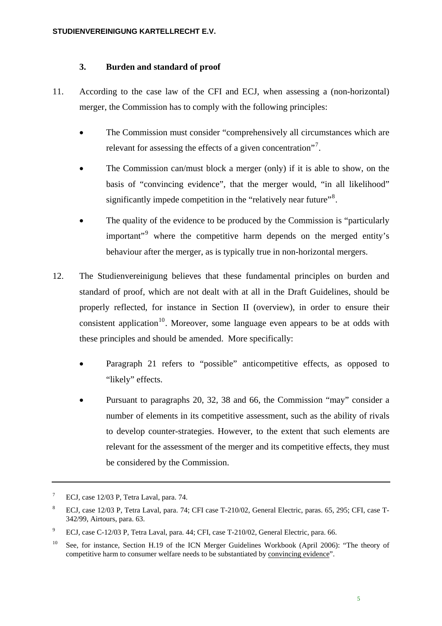#### **3. Burden and standard of proof**

- 11. According to the case law of the CFI and ECJ, when assessing a (non-horizontal) merger, the Commission has to comply with the following principles:
	- The Commission must consider "comprehensively all circumstances which are relevant for assessing the effects of a given concentration"<sup>[7](#page-4-0)</sup>.
	- The Commission can/must block a merger (only) if it is able to show, on the basis of "convincing evidence", that the merger would, "in all likelihood" significantly impede competition in the "relatively near future"<sup>[8](#page-4-1)</sup>.
	- The quality of the evidence to be produced by the Commission is "particularly" important"<sup>[9](#page-4-2)</sup> where the competitive harm depends on the merged entity's behaviour after the merger, as is typically true in non-horizontal mergers.
- 12. The Studienvereinigung believes that these fundamental principles on burden and standard of proof, which are not dealt with at all in the Draft Guidelines, should be properly reflected, for instance in Section II (overview), in order to ensure their consistent application<sup>[10](#page-4-3)</sup>. Moreover, some language even appears to be at odds with these principles and should be amended. More specifically:
	- Paragraph 21 refers to "possible" anticompetitive effects, as opposed to "likely" effects.
	- Pursuant to paragraphs 20, 32, 38 and 66, the Commission "may" consider a number of elements in its competitive assessment, such as the ability of rivals to develop counter-strategies. However, to the extent that such elements are relevant for the assessment of the merger and its competitive effects, they must be considered by the Commission.

<span id="page-4-0"></span> 7 ECJ, case 12/03 P, Tetra Laval, para. 74.

<span id="page-4-1"></span><sup>8</sup> ECJ, case 12/03 P, Tetra Laval, para. 74; CFI case T-210/02, General Electric, paras. 65, 295; CFI, case T-342/99, Airtours, para. 63.

<span id="page-4-2"></span><sup>9</sup> ECJ, case C-12/03 P, Tetra Laval, para. 44; CFI, case T-210/02, General Electric, para. 66.

<span id="page-4-3"></span><sup>&</sup>lt;sup>10</sup> See, for instance, Section H.19 of the ICN Merger Guidelines Workbook (April 2006): "The theory of competitive harm to consumer welfare needs to be substantiated by convincing evidence".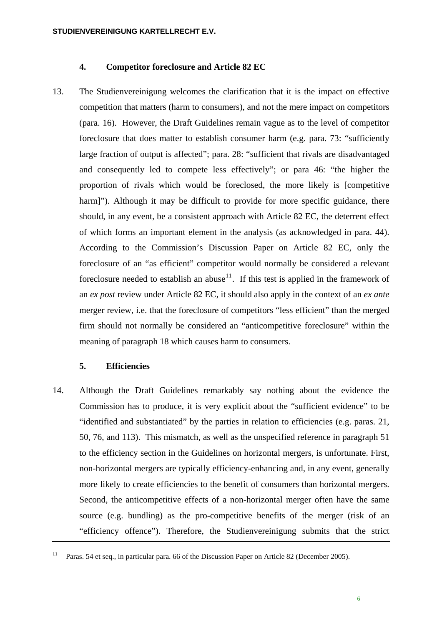#### **4. Competitor foreclosure and Article 82 EC**

13. The Studienvereinigung welcomes the clarification that it is the impact on effective competition that matters (harm to consumers), and not the mere impact on competitors (para. 16). However, the Draft Guidelines remain vague as to the level of competitor foreclosure that does matter to establish consumer harm (e.g. para. 73: "sufficiently large fraction of output is affected"; para. 28: "sufficient that rivals are disadvantaged and consequently led to compete less effectively"; or para 46: "the higher the proportion of rivals which would be foreclosed, the more likely is [competitive harm]"). Although it may be difficult to provide for more specific guidance, there should, in any event, be a consistent approach with Article 82 EC, the deterrent effect of which forms an important element in the analysis (as acknowledged in para. 44). According to the Commission's Discussion Paper on Article 82 EC, only the foreclosure of an "as efficient" competitor would normally be considered a relevant foreclosure needed to establish an abuse<sup>[11](#page-5-0)</sup>. If this test is applied in the framework of an *ex post* review under Article 82 EC, it should also apply in the context of an *ex ante* merger review, i.e. that the foreclosure of competitors "less efficient" than the merged firm should not normally be considered an "anticompetitive foreclosure" within the meaning of paragraph 18 which causes harm to consumers.

#### **5. Efficiencies**

14. Although the Draft Guidelines remarkably say nothing about the evidence the Commission has to produce, it is very explicit about the "sufficient evidence" to be "identified and substantiated" by the parties in relation to efficiencies (e.g. paras. 21, 50, 76, and 113). This mismatch, as well as the unspecified reference in paragraph 51 to the efficiency section in the Guidelines on horizontal mergers, is unfortunate. First, non-horizontal mergers are typically efficiency-enhancing and, in any event, generally more likely to create efficiencies to the benefit of consumers than horizontal mergers. Second, the anticompetitive effects of a non-horizontal merger often have the same source (e.g. bundling) as the pro-competitive benefits of the merger (risk of an "efficiency offence"). Therefore, the Studienvereinigung submits that the strict

<span id="page-5-0"></span><sup>&</sup>lt;sup>11</sup> Paras. 54 et seq., in particular para. 66 of the Discussion Paper on Article 82 (December 2005).